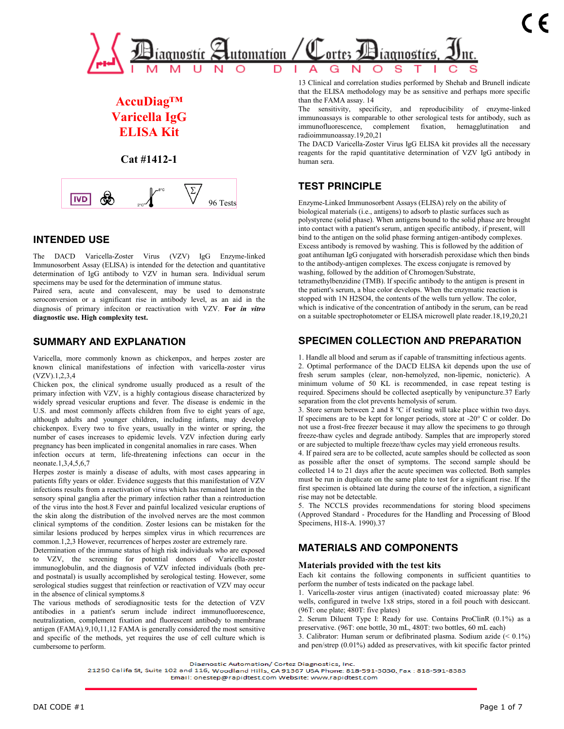

# **AccuDiag™ Varicella IgG ELISA Kit**

**Cat #1412-1**



## **INTENDED USE**

The DACD Varicella-Zoster Virus (VZV) IgG Enzyme-linked Immunosorbent Assay (ELISA) is intended for the detection and quantitative determination of IgG antibody to VZV in human sera. Individual serum specimens may be used for the determination of immune status.

Paired sera, acute and convalescent, may be used to demonstrate seroconversion or a significant rise in antibody level, as an aid in the diagnosis of primary infeciton or reactivation with VZV. **For** *in vitro*  **diagnostic use. High complexity test.**

## **SUMMARY AND EXPLANATION**

Varicella, more commonly known as chickenpox, and herpes zoster are known clinical manifestations of infection with varicella-zoster virus (VZV).1,2,3,4

Chicken pox, the clinical syndrome usually produced as a result of the primary infection with VZV, is a highly contagious disease characterized by widely spread vesicular eruptions and fever. The disease is endemic in the U.S. and most commonly affects children from five to eight years of age, although adults and younger children, including infants, may develop chickenpox. Every two to five years, usually in the winter or spring, the number of cases increases to epidemic levels. VZV infection during early pregnancy has been implicated in congenital anomalies in rare cases. When

infection occurs at term, life-threatening infections can occur in the neonate.1,3,4,5,6,7

Herpes zoster is mainly a disease of adults, with most cases appearing in patients fifty years or older. Evidence suggests that this manifestation of VZV infections results from a reactivation of virus which has remained latent in the sensory spinal ganglia after the primary infection rather than a reintroduction of the virus into the host.8 Fever and painful localized vesicular eruptions of the skin along the distribution of the involved nerves are the most common clinical symptoms of the condition. Zoster lesions can be mistaken for the similar lesions produced by herpes simplex virus in which recurrences are common.1,2,3 However, recurrences of herpes zoster are extremely rare.

Determination of the immune status of high risk individuals who are exposed to VZV, the screening for potential donors of Varicella-zoster immunoglobulin, and the diagnosis of VZV infected individuals (both preand postnatal) is usually accomplished by serological testing. However, some serological studies suggest that reinfection or reactivation of VZV may occur in the absence of clinical symptoms.8

The various methods of serodiagnositic tests for the detection of VZV antibodies in a patient's serum include indirect immunofluorescence, neutralization, complement fixation and fluorescent antibody to membrane antigen (FAMA).9,10,11,12 FAMA is generally considered the most sensitive and specific of the methods, yet requires the use of cell culture which is cumbersome to perform.

13 Clinical and correlation studies performed by Shehab and Brunell indicate that the ELISA methodology may be as sensitive and perhaps more specific than the FAMA assay. 14

The sensitivity, specificity, and reproducibility of enzyme-linked immunoassays is comparable to other serological tests for antibody, such as immunofluorescence, complement fixation, hemagglutination radioimmunoassay.19,20,21

The DACD Varicella-Zoster Virus IgG ELISA kit provides all the necessary reagents for the rapid quantitative determination of VZV IgG antibody in human sera.

## **TEST PRINCIPLE**

Enzyme-Linked Immunosorbent Assays (ELISA) rely on the ability of biological materials (i.e., antigens) to adsorb to plastic surfaces such as polystyrene (solid phase). When antigens bound to the solid phase are brought into contact with a patient's serum, antigen specific antibody, if present, will bind to the antigen on the solid phase forming antigen-antibody complexes. Excess antibody is removed by washing. This is followed by the addition of goat antihuman IgG conjugated with horseradish peroxidase which then binds to the antibody-antigen complexes. The excess conjugate is removed by washing, followed by the addition of Chromogen/Substrate, tetramethylbenzidine (TMB). If specific antibody to the antigen is present in the patient's serum, a blue color develops. When the enzymatic reaction is stopped with 1N H2SO4, the contents of the wells turn yellow. The color, which is indicative of the concentration of antibody in the serum, can be read on a suitable spectrophotometer or ELISA microwell plate reader.18,19,20,21

## **SPECIMEN COLLECTION AND PREPARATION**

1. Handle all blood and serum as if capable of transmitting infectious agents. 2. Optimal performance of the DACD ELISA kit depends upon the use of fresh serum samples (clear, non-hemolyzed, non-lipemic, nonicteric). A minimum volume of 50 KL is recommended, in case repeat testing is required. Specimens should be collected aseptically by venipuncture.37 Early separation from the clot prevents hemolysis of serum.

3. Store serum between 2 and 8 °C if testing will take place within two days. If specimens are to be kept for longer periods, store at -20° C or colder. Do not use a frost-free freezer because it may allow the specimens to go through freeze-thaw cycles and degrade antibody. Samples that are improperly stored or are subjected to multiple freeze/thaw cycles may yield erroneous results.

4. If paired sera are to be collected, acute samples should be collected as soon as possible after the onset of symptoms. The second sample should be collected 14 to 21 days after the acute specimen was collected. Both samples must be run in duplicate on the same plate to test for a significant rise. If the first specimen is obtained late during the course of the infection, a significant rise may not be detectable.

5. The NCCLS provides recommendations for storing blood specimens (Approved Standard - Procedures for the Handling and Processing of Blood Specimens, H18-A. 1990).37

## **MATERIALS AND COMPONENTS**

### **Materials provided with the test kits**

Each kit contains the following components in sufficient quantities to perform the number of tests indicated on the package label.

1. Varicella-zoster virus antigen (inactivated) coated microassay plate: 96 wells, configured in twelve 1x8 strips, stored in a foil pouch with desiccant. (96T: one plate; 480T: five plates)

2. Serum Diluent Type I: Ready for use. Contains ProClinR (0.1%) as a preservative. (96T: one bottle, 30 mL, 480T: two bottles, 60 mL each)

3. Calibrator: Human serum or defibrinated plasma. Sodium azide (< 0.1%) and pen/strep (0.01%) added as preservatives, with kit specific factor printed

Diagnostic Automation/ Cortez Diagnostics, Inc.

21250 Califa St, Suite 102 and 116, Woodland Hills, CA 91367 USA Phone: 818-591-3030, Fax: 818-591-8383

Email: onestep@rapidtest.com Website: www.rapidtest.com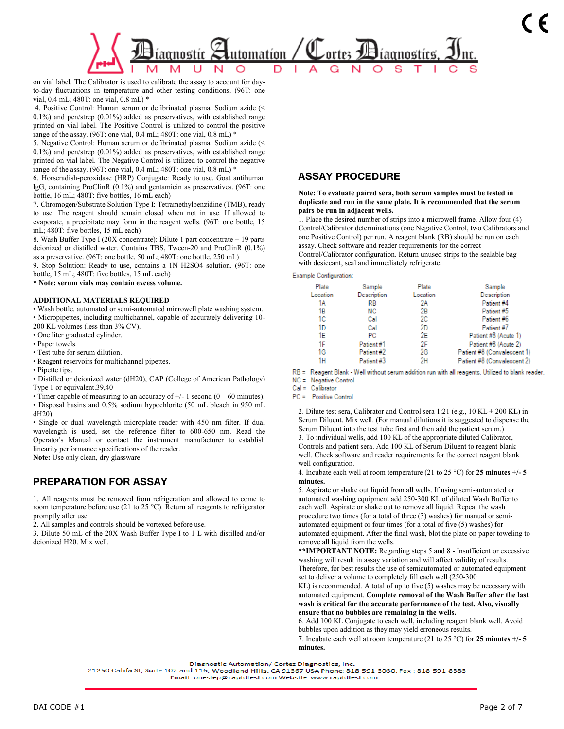

on vial label. The Calibrator is used to calibrate the assay to account for dayto-day fluctuations in temperature and other testing conditions. (96T: one vial, 0.4 mL; 480T: one vial, 0.8 mL) \*

4. Positive Control: Human serum or defibrinated plasma. Sodium azide (< 0.1%) and pen/strep (0.01%) added as preservatives, with established range printed on vial label. The Positive Control is utilized to control the positive range of the assay. (96T: one vial, 0.4 mL; 480T: one vial, 0.8 mL) \*

5. Negative Control: Human serum or defibrinated plasma. Sodium azide (< 0.1%) and pen/strep (0.01%) added as preservatives, with established range printed on vial label. The Negative Control is utilized to control the negative range of the assay. (96T: one vial, 0.4 mL; 480T: one vial, 0.8 mL) \*

6. Horseradish-peroxidase (HRP) Conjugate: Ready to use. Goat antihuman IgG, containing ProClinR (0.1%) and gentamicin as preservatives. (96T: one bottle, 16 mL; 480T: five bottles, 16 mL each)

7. Chromogen/Substrate Solution Type I: Tetramethylbenzidine (TMB), ready to use. The reagent should remain closed when not in use. If allowed to evaporate, a precipitate may form in the reagent wells. (96T: one bottle, 15 mL; 480T: five bottles, 15 mL each)

8. Wash Buffer Type I (20X concentrate): Dilute 1 part concentrate + 19 parts deionized or distilled water. Contains TBS, Tween-20 and ProClinR (0.1%) as a preservative. (96T: one bottle, 50 mL; 480T: one bottle, 250 mL)

9. Stop Solution: Ready to use, contains a 1N H2SO4 solution. (96T: one bottle, 15 mL; 480T: five bottles, 15 mL each)

**\* Note: serum vials may contain excess volume.**

#### **ADDITIONAL MATERIALS REQUIRED**

• Wash bottle, automated or semi-automated microwell plate washing system. • Micropipettes, including multichannel, capable of accurately delivering 10- 200 KL volumes (less than 3% CV).

• One liter graduated cylinder.

- Paper towels.
- Test tube for serum dilution.

• Reagent reservoirs for multichannel pipettes.

• Pipette tips.

• Distilled or deionized water (dH20), CAP (College of American Pathology) Type 1 or equivalent.39,40

• Timer capable of measuring to an accuracy of  $+/- 1$  second (0 – 60 minutes).

• Disposal basins and 0.5% sodium hypochlorite (50 mL bleach in 950 mL dH20).

• Single or dual wavelength microplate reader with 450 nm filter. If dual wavelength is used, set the reference filter to 600-650 nm. Read the Operator's Manual or contact the instrument manufacturer to establish linearity performance specifications of the reader.

**Note:** Use only clean, dry glassware.

## **PREPARATION FOR ASSAY**

1. All reagents must be removed from refrigeration and allowed to come to room temperature before use (21 to 25 °C). Return all reagents to refrigerator promptly after use.

2. All samples and controls should be vortexed before use.

3. Dilute 50 mL of the 20X Wash Buffer Type I to 1 L with distilled and/or deionized H20. Mix well.

## **ASSAY PROCEDURE**

**Note: To evaluate paired sera, both serum samples must be tested in duplicate and run in the same plate. It is recommended that the serum pairs be run in adjacent wells.**

1. Place the desired number of strips into a microwell frame. Allow four (4) Control/Calibrator determinations (one Negative Control, two Calibrators and one Positive Control) per run. A reagent blank (RB) should be run on each assay. Check software and reader requirements for the correct Control/Calibrator configuration. Return unused strips to the sealable bag with desiccant, seal and immediately refrigerate.

Example Configuration:

| прас оснаданиет. |             |          |                             |
|------------------|-------------|----------|-----------------------------|
| Plate            | Sample      | Plate    | Sample                      |
| Location         | Description | Location | Description                 |
| 1А               | RB          | 2Α       | Patient #4                  |
| 1B               | NC.         | 2В       | Patient #5                  |
| 1C               | Cal         | 2C       | Patient #6                  |
| 1D               | Cal         | 2D       | Patient #7                  |
| 1E               | <b>PC</b>   | 2E       | Patient #8 (Acute 1)        |
| 1F               | Patient#1   | 2F       | Patient #8 (Acute 2)        |
| 1G               | Patient#2   | 2G       | Patient #8 (Convalescent 1) |
| 1Н               | Patient#3   | 2н       | Patient #8 (Convalescent 2) |
|                  |             |          |                             |

RB = Reagent Blank - Well without serum addition run with all reagents. Utilized to blank reader.  $NC =$  Negative Control

 $Cal = Calibrator$ 

PC = Positive Control

2. Dilute test sera, Calibrator and Control sera 1:21 (e.g., 10 KL + 200 KL) in Serum Diluent. Mix well. (For manual dilutions it is suggested to dispense the Serum Diluent into the test tube first and then add the patient serum.) 3. To individual wells, add 100 KL of the appropriate diluted Calibrator, Controls and patient sera. Add 100 KL of Serum Diluent to reagent blank well. Check software and reader requirements for the correct reagent blank well configuration.

4. Incubate each well at room temperature (21 to 25 °C) for **25 minutes +/- 5 minutes.**

5. Aspirate or shake out liquid from all wells. If using semi-automated or automated washing equipment add 250-300 KL of diluted Wash Buffer to each well. Aspirate or shake out to remove all liquid. Repeat the wash procedure two times (for a total of three (3) washes) for manual or semiautomated equipment or four times (for a total of five (5) washes) for automated equipment. After the final wash, blot the plate on paper toweling to remove all liquid from the wells.

**\*\*IMPORTANT NOTE:** Regarding steps 5 and 8 - Insufficient or excessive washing will result in assay variation and will affect validity of results. Therefore, for best results the use of semiautomated or automated equipment set to deliver a volume to completely fill each well (250-300

KL) is recommended. A total of up to five (5) washes may be necessary with automated equipment. **Complete removal of the Wash Buffer after the last wash is critical for the accurate performance of the test. Also, visually ensure that no bubbles are remaining in the wells.**

6. Add 100 KL Conjugate to each well, including reagent blank well. Avoid bubbles upon addition as they may yield erroneous results.

7. Incubate each well at room temperature (21 to 25 °C) for **25 minutes +/- 5 minutes.**

Diagnostic Automation/ Cortez Diagnostics, Inc.

21250 Califa St, Suite 102 and 116, Woodland Hills, CA 91367 USA Phone: 818-591-3030, Fax: 818-591-8383 Email: onestep@rapidtest.com Website: www.rapidtest.com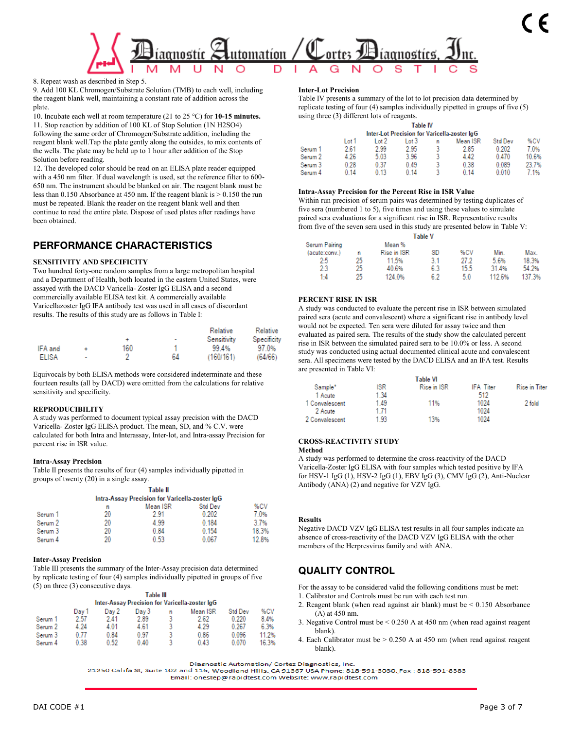

8. Repeat wash as described in Step 5.

9. Add 100 KL Chromogen/Substrate Solution (TMB) to each well, including the reagent blank well, maintaining a constant rate of addition across the plate.

10. Incubate each well at room temperature (21 to 25 °C) for **10-15 minutes.** 11. Stop reaction by addition of 100 KL of Stop Solution (1N H2SO4) following the same order of Chromogen/Substrate addition, including the reagent blank well.Tap the plate gently along the outsides, to mix contents of the wells. The plate may be held up to 1 hour after addition of the Stop Solution before reading.

12. The developed color should be read on an ELISA plate reader equipped with a 450 nm filter. If dual wavelength is used, set the reference filter to 600- 650 nm. The instrument should be blanked on air. The reagent blank must be less than 0.150 Absorbance at 450 nm. If the reagent blank is > 0.150 the run must be repeated. Blank the reader on the reagent blank well and then continue to read the entire plate. Dispose of used plates after readings have been obtained.

## **PERFORMANCE CHARACTERISTICS**

### **SENSITIVITY AND SPECIFICITY**

Two hundred forty-one random samples from a large metropolitan hospital and a Department of Health, both located in the eastern United States, were assayed with the DACD Varicella- Zoster IgG ELISA and a second commercially available ELISA test kit. A commercially available Varicellazoster IgG IFA antibody test was used in all cases of discordant results. The results of this study are as follows in Table I:

|              |                          |     |    | Relative    | Relative    |
|--------------|--------------------------|-----|----|-------------|-------------|
|              |                          |     | ٠  | Sensitivity | Specificity |
| IFA and      |                          | 160 |    | 99 4%       | 97.0%       |
| <b>ELISA</b> | $\overline{\phantom{a}}$ |     | ĥΔ | (160/161)   | (64/66)     |

Equivocals by both ELISA methods were considered indeterminate and these fourteen results (all by DACD) were omitted from the calculations for relative sensitivity and specificity.

### **REPRODUCIBILITY**

A study was performed to document typical assay precision with the DACD Varicella- Zoster IgG ELISA product. The mean, SD, and % C.V. were calculated for both Intra and Interassay, Inter-lot, and Intra-assay Precision for percent rise in ISR value.

### **Intra-Assay Precision**

Table II presents the results of four (4) samples individually pipetted in groups of twenty (20) in a single assay.

|         |    | Table II                                       |                |       |
|---------|----|------------------------------------------------|----------------|-------|
|         |    | Intra-Assay Precision for Varicella-zoster IgG |                |       |
|         | n  | Mean ISR                                       | <b>Std Dev</b> | %CV   |
| Serum 1 | 20 | 291                                            | 0.202          | 7.0%  |
| Serum 2 | 20 | 4.99                                           | 0.184          | 3.7%  |
| Serum 3 | 20 | 0.84                                           | 0.154          | 18.3% |
| Serum 4 | 20 | 0.53                                           | 0.067          | 128%  |

### **Inter-Assay Precision**

Table III presents the summary of the Inter-Assay precision data determined by replicate testing of four (4) samples individually pipetted in groups of five (5) on three (3) consecutive days.

|                    |       |       | Table III |   | Inter-Assay Precision for Varicella-zoster IgG |                |       |
|--------------------|-------|-------|-----------|---|------------------------------------------------|----------------|-------|
|                    | Day 1 | Day 2 | Day 3     | n | Mean ISR                                       | <b>Std Dev</b> | %CV   |
| Serum 1            | 2.57  | 241   | 2.89      | 3 | 2.62                                           | 0.220          | 84%   |
| Serum <sub>2</sub> | 4 24  | 4 01  | 4.61      |   | 4.29                                           | 0.267          | 6.3%  |
| Serum 3            | N 77  | 084   | 0.97      | ٩ | 0.86                                           | 0.096          | 11 2% |
| Serum 4            | በ 38  | 0.52  | 0.40      |   | 0.43                                           | 0.070          | 16.3% |

### **Inter-Lot Precision**

Table IV presents a summary of the lot to lot precision data determined by replicate testing of four (4) samples individually pipetted in groups of five (5) using three (3) different lots of reagents.

|         |       |        | Table IV |   |                                              |                |       |
|---------|-------|--------|----------|---|----------------------------------------------|----------------|-------|
|         |       |        |          |   | Inter-Lot Precision for Varicella-zoster IgG |                |       |
|         | Lot 1 | l ot 2 | Lot 3    | n | Mean ISR                                     | <b>Std Dev</b> | %CV   |
| Serum 1 | 2.61  | 2.99   | 2.95     | 3 | 2.85                                         | 0.202          | 7 0%  |
| Serum 2 | 4.26  | 5.03   | 3.96     | ٩ | 442                                          | 0.470          | 10.6% |
| Serum 3 | 0.28  | 0.37   | 0.49     | ٩ | 0.38                                         | 0.089          | 237%  |
| Serum 4 | 0 14  | 0 13   | 0 14     |   | 0.14                                         | 0.010          | 7 1%  |
|         |       |        |          |   |                                              |                |       |

### **Intra-Assay Precision for the Percent Rise in ISR Value**

Within run precision of serum pairs was determined by testing duplicates of five sera (numbered 1 to 5), five times and using these values to simulate paired sera evaluations for a significant rise in ISR. Representative results from five of the seven sera used in this study are presented below in Table V:

|               |    |                    | Table V |      |        |        |
|---------------|----|--------------------|---------|------|--------|--------|
| Serum Pairing |    | Mean %             |         |      |        |        |
| (acute:conv.) | n  | <b>Rise in ISR</b> | SD      | %CV  | Min.   | Max.   |
| 2:5           | 25 | 11.5%              | 3.1     | 27 2 | 5.6%   | 18.3%  |
| 2:3           | 25 | 40.6%              | 6.3     | 15.5 | 31.4%  | 54.2%  |
| $1-4$         | 25 | 124 0%             | 62      | 50   | 112.6% | 137.3% |

### **PERCENT RISE IN ISR**

A study was conducted to evaluate the percent rise in ISR between simulated paired sera (acute and convalescent) where a significant rise in antibody level would not be expected. Ten sera were diluted for assay twice and then evaluated as paired sera. The results of the study show the calculated percent rise in ISR between the simulated paired sera to be 10.0% or less. A second study was conducted using actual documented clinical acute and convalescent sera. All specimens were tested by the DACD ELISA and an IFA test. Results are presented in Table VI:

|                |      | Table VI    |                  |                      |
|----------------|------|-------------|------------------|----------------------|
| Sample*        | ISR  | Rise in ISR | <b>IFA Titer</b> | <b>Rise in Titer</b> |
| 1 Acute        | 1.34 |             | 512              |                      |
| 1 Convalescent | 1.49 | 11%         | 1024             | 2 fold               |
| 2 Acute        | 171  |             | 1024             |                      |
| 2 Convalescent | 1.93 | 13%         | 1024             |                      |

### **CROSS-REACTIVITY STUDY**

### **Method**

A study was performed to determine the cross-reactivity of the DACD Varicella-Zoster IgG ELISA with four samples which tested positive by IFA for HSV-1 IgG (1), HSV-2 IgG (1), EBV IgG (3), CMV IgG (2), Anti-Nuclear Antibody (ANA) (2) and negative for VZV IgG.

### **Results**

Negative DACD VZV IgG ELISA test results in all four samples indicate an absence of cross-reactivity of the DACD VZV IgG ELISA with the other members of the Herpresvirus family and with ANA.

### **QUALITY CONTROL**

For the assay to be considered valid the following conditions must be met:

- 1. Calibrator and Controls must be run with each test run.
- 2. Reagent blank (when read against air blank) must be < 0.150 Absorbance (A) at 450 nm.
- 3. Negative Control must be < 0.250 A at 450 nm (when read against reagent blank).
- 4. Each Calibrator must be  $> 0.250$  A at 450 nm (when read against reagent blank).

Diagnostic Automation/ Cortez Diagnostics, Inc.

21250 Califa St, Suite 102 and 116, Woodland Hills, CA 91367 USA Phone: 818-591-3030, Fax: 818-591-8383

Email: onestep@rapidtest.com Website: www.rapidtest.com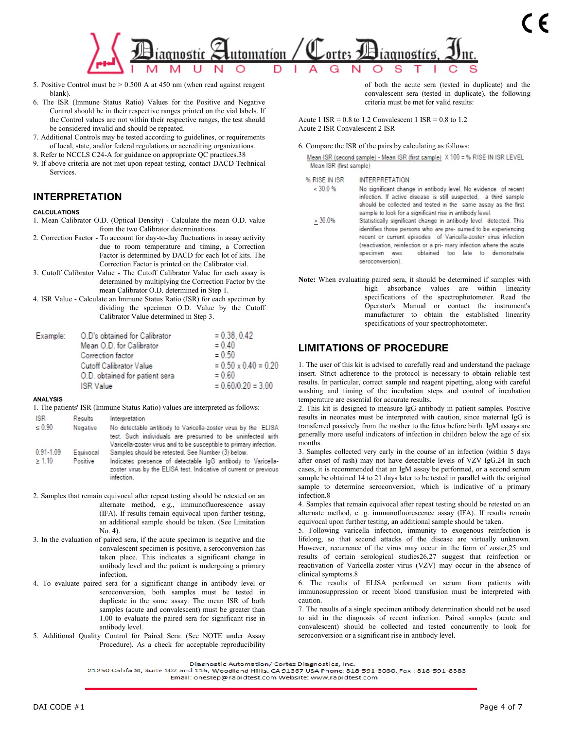

- 5. Positive Control must be > 0.500 A at 450 nm (when read against reagent blank).
- 6. The ISR (Immune Status Ratio) Values for the Positive and Negative Control should be in their respective ranges printed on the vial labels. If the Control values are not within their respective ranges, the test should be considered invalid and should be repeated.
- 7. Additional Controls may be tested according to guidelines, or requirements of local, state, and/or federal regulations or accrediting organizations.
- 8. Refer to NCCLS C24-A for guidance on appropriate QC practices.38
- 9. If above criteria are not met upon repeat testing, contact DACD Technical Services.

## **INTERPRETATION**

#### **CALCULATIONS**

- 1. Mean Calibrator O.D. (Optical Density) Calculate the mean O.D. value from the two Calibrator determinations.
- 2. Correction Factor To account for day-to-day fluctuations in assay activity due to room temperature and timing, a Correction Factor is determined by DACD for each lot of kits. The Correction Factor is printed on the Calibrator vial.
- 3. Cutoff Calibrator Value The Cutoff Calibrator Value for each assay is determined by multiplying the Correction Factor by the mean Calibrator O.D. determined in Step 1.
- 4. ISR Value Calculate an Immune Status Ratio (ISR) for each specimen by dividing the specimen O.D. Value by the Cutoff Calibrator Value determined in Step 3.

| Example: | O.D's obtained for Calibrator  | $= 0.38, 0.42$              |
|----------|--------------------------------|-----------------------------|
|          | Mean O.D. for Calibrator       | $= 0.40$                    |
|          | Correction factor              | $= 0.50$                    |
|          | <b>Cutoff Calibrator Value</b> | $= 0.50 \times 0.40 = 0.20$ |
|          | O.D. obtained for patient sera | $= 0.60$                    |
|          | <b>ISR</b> Value               | $= 0.60/0.20 = 3.00$        |

#### **ANALYSIS**

1. The patients' ISR (Immune Status Ratio) values are interpreted as follows:

- **ISR** Results Interpretation  $\leq 0.90$ Negative No detectable antibody to Varicella-zoster virus by the ELISA test. Such individuals are presumed to be uninfected with Varicella-zoster virus and to be susceptible to primary infection. 0.91-1.09 Equivocal Samples should be retested. See Number (3) below.  $\geq 1.10$ Positive Indicates presence of detectable IgG antibody to Varicella-
- zoster virus by the ELISA test. Indicative of current or previous infection.
- 2. Samples that remain equivocal after repeat testing should be retested on an alternate method, e.g., immunofluorescence assay (IFA). If results remain equivocal upon further testing, an additional sample should be taken. (See Limitation No. 4).
- 3. In the evaluation of paired sera, if the acute specimen is negative and the convalescent specimen is positive, a seroconversion has taken place. This indicates a significant change in antibody level and the patient is undergoing a primary infection.
- 4. To evaluate paired sera for a significant change in antibody level or seroconversion, both samples must be tested in duplicate in the same assay. The mean ISR of both samples (acute and convalescent) must be greater than 1.00 to evaluate the paired sera for significant rise in antibody level.
- 5. Additional Quality Control for Paired Sera: (See NOTE under Assay Procedure). As a check for acceptable reproducibility

of both the acute sera (tested in duplicate) and the convalescent sera (tested in duplicate), the following criteria must be met for valid results:

Acute 1 ISR =  $0.8$  to 1.2 Convalescent 1 ISR =  $0.8$  to 1.2 Acute 2 ISR Convalescent 2 ISR

#### 6. Compare the ISR of the pairs by calculating as follows:

Mean ISR (second sample) - Mean ISR (first sample) X 100 = % RISE IN ISR LEVEL Mean ISR (first sample)

% RISE IN ISR **INTERPRETATION** 

- $< 30.0 %$ No significant change in antibody level. No evidence of recent infection. If active disease is still suspected, a third sample should be collected and tested in the same assay as the first sample to look for a significant rise in antibody level.
- $\geq 30.0\%$ Statistically significant change in antibody level detected. This identifies those persons who are pre-sumed to be experiencing recent or current episodes of Varicella-zoster virus infection (reactivation, reinfection or a pri- mary infection where the acute obtained too late to demonstrate specimen was seroconversion).
- **Note:** When evaluating paired sera, it should be determined if samples with high absorbance values are within linearity specifications of the spectrophotometer. Read the Operator's Manual or contact the instrument's manufacturer to obtain the established linearity specifications of your spectrophotometer.

## **LIMITATIONS OF PROCEDURE**

1. The user of this kit is advised to carefully read and understand the package insert. Strict adherence to the protocol is necessary to obtain reliable test results. In particular, correct sample and reagent pipetting, along with careful washing and timing of the incubation steps and control of incubation temperature are essential for accurate results.

2. This kit is designed to measure IgG antibody in patient samples. Positive results in neonates must be interpreted with caution, since maternal IgG is transferred passively from the mother to the fetus before birth. IgM assays are generally more useful indicators of infection in children below the age of six months.

3. Samples collected very early in the course of an infection (within 5 days after onset of rash) may not have detectable levels of VZV IgG.24 In such cases, it is recommended that an IgM assay be performed, or a second serum sample be obtained 14 to 21 days later to be tested in parallel with the original sample to determine seroconversion, which is indicative of a primary infection.8

4. Samples that remain equivocal after repeat testing should be retested on an alternate method, e. g. immunofluorescence assay (IFA). If results remain equivocal upon further testing, an additional sample should be taken.

5. Following varicella infection, immunity to exogenous reinfection is lifelong, so that second attacks of the disease are virtually unknown. However, recurrence of the virus may occur in the form of zoster,25 and results of certain serological studies26,27 suggest that reinfection or reactivation of Varicella-zoster virus (VZV) may occur in the absence of clinical symptoms.8

6. The results of ELISA performed on serum from patients with immunosuppression or recent blood transfusion must be interpreted with caution.

7. The results of a single specimen antibody determination should not be used to aid in the diagnosis of recent infection. Paired samples (acute and convalescent) should be collected and tested concurrently to look for seroconversion or a significant rise in antibody level.

21250 Califa St, Suite 102 and 116, Woodland Hills, CA 91367 USA Phone: 818-591-3030, Fax : 818-591-8383 Email: onestep@rapidtest.com Website: www.rapidtest.com

Diagnostic Automation/ Cortez Diagnostics, Inc.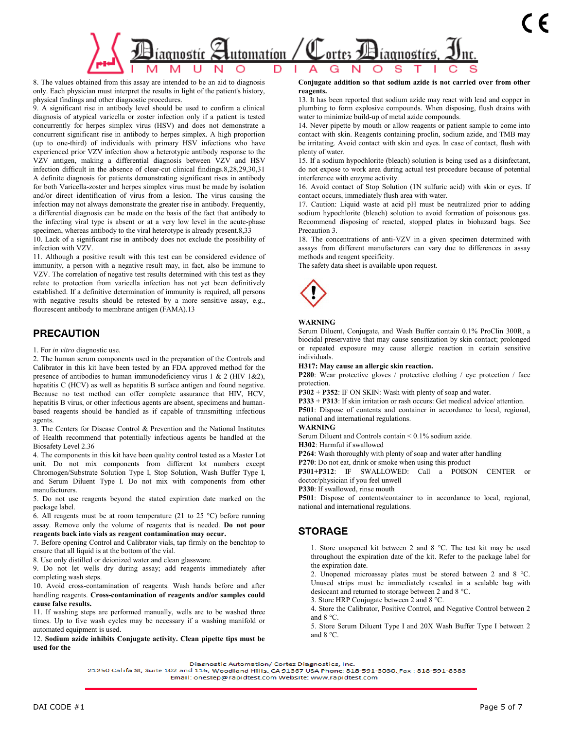

8. The values obtained from this assay are intended to be an aid to diagnosis only. Each physician must interpret the results in light of the patient's history, physical findings and other diagnostic procedures.

9. A significant rise in antibody level should be used to confirm a clinical diagnosis of atypical varicella or zoster infection only if a patient is tested concurrently for herpes simplex virus (HSV) and does not demonstrate a concurrent significant rise in antibody to herpes simplex. A high proportion (up to one-third) of individuals with primary HSV infections who have experienced prior VZV infection show a heterotypic antibody response to the VZV antigen, making a differential diagnosis between VZV and HSV infection difficult in the absence of clear-cut clinical findings.8,28,29,30,31 A definite diagnosis for patients demonstrating significant rises in antibody for both Varicella-zoster and herpes simplex virus must be made by isolation and/or direct identification of virus from a lesion. The virus causing the infection may not always demonstrate the greater rise in antibody. Frequently, a differential diagnosis can be made on the basis of the fact that antibody to the infecting viral type is absent or at a very low level in the acute-phase specimen, whereas antibody to the viral heterotype is already present.8,33

10. Lack of a significant rise in antibody does not exclude the possibility of infection with VZV.

11. Although a positive result with this test can be considered evidence of immunity, a person with a negative result may, in fact, also be immune to VZV. The correlation of negative test results determined with this test as they relate to protection from varicella infection has not yet been definitively established. If a definitive determination of immunity is required, all persons with negative results should be retested by a more sensitive assay, e.g., flourescent antibody to membrane antigen (FAMA).13

### **PRECAUTION**

1. For *in vitro* diagnostic use.

2. The human serum components used in the preparation of the Controls and Calibrator in this kit have been tested by an FDA approved method for the presence of antibodies to human immunodeficiency virus  $1 \& 2$  (HIV  $1 \& 2$ ), hepatitis C (HCV) as well as hepatitis B surface antigen and found negative. Because no test method can offer complete assurance that HIV, HCV, hepatitis B virus, or other infectious agents are absent, specimens and humanbased reagents should be handled as if capable of transmitting infectious agents.

3. The Centers for Disease Control & Prevention and the National Institutes of Health recommend that potentially infectious agents be handled at the Biosafety Level 2.36

4. The components in this kit have been quality control tested as a Master Lot unit. Do not mix components from different lot numbers except Chromogen/Substrate Solution Type I, Stop Solution, Wash Buffer Type I, and Serum Diluent Type I. Do not mix with components from other manufacturers.

5. Do not use reagents beyond the stated expiration date marked on the package label.

6. All reagents must be at room temperature (21 to 25 °C) before running assay. Remove only the volume of reagents that is needed. **Do not pour reagents back into vials as reagent contamination may occur.**

7. Before opening Control and Calibrator vials, tap firmly on the benchtop to ensure that all liquid is at the bottom of the vial.

8. Use only distilled or deionized water and clean glassware.

9. Do not let wells dry during assay; add reagents immediately after completing wash steps.

10. Avoid cross-contamination of reagents. Wash hands before and after handling reagents. **Cross-contamination of reagents and/or samples could cause false results.**

11. If washing steps are performed manually, wells are to be washed three times. Up to five wash cycles may be necessary if a washing manifold or automated equipment is used.

12. **Sodium azide inhibits Conjugate activity. Clean pipette tips must be used for the**

**Conjugate addition so that sodium azide is not carried over from other reagents.**

13. It has been reported that sodium azide may react with lead and copper in plumbing to form explosive compounds. When disposing, flush drains with water to minimize build-up of metal azide compounds.

14. Never pipette by mouth or allow reagents or patient sample to come into contact with skin. Reagents containing proclin, sodium azide, and TMB may be irritating. Avoid contact with skin and eyes. In case of contact, flush with plenty of water.

15. If a sodium hypochlorite (bleach) solution is being used as a disinfectant, do not expose to work area during actual test procedure because of potential interference with enzyme activity.

16. Avoid contact of Stop Solution (1N sulfuric acid) with skin or eyes. If contact occurs, immediately flush area with water.

17. Caution: Liquid waste at acid pH must be neutralized prior to adding sodium hypochlorite (bleach) solution to avoid formation of poisonous gas. Recommend disposing of reacted, stopped plates in biohazard bags. See Precaution 3.

18. The concentrations of anti-VZV in a given specimen determined with assays from different manufacturers can vary due to differences in assay methods and reagent specificity.

The safety data sheet is available upon request.



### **WARNING**

Serum Diluent, Conjugate, and Wash Buffer contain 0.1% ProClin 300R, a biocidal preservative that may cause sensitization by skin contact; prolonged or repeated exposure may cause allergic reaction in certain sensitive individuals.

**H317: May cause an allergic skin reaction.**

**P280**: Wear protective gloves / protective clothing / eye protection / face protection.

**P302** + **P352**: IF ON SKIN: Wash with plenty of soap and water.

**P333** + **P313**: If skin irritation or rash occurs: Get medical advice/ attention. **P501**: Dispose of contents and container in accordance to local, regional, national and international regulations.

### **WARNING**

Serum Diluent and Controls contain < 0.1% sodium azide.

**H302**: Harmful if swallowed

**P264**: Wash thoroughly with plenty of soap and water after handling

**P270**: Do not eat, drink or smoke when using this product

**P301+P312**: IF SWALLOWED: Call a POISON CENTER or doctor/physician if you feel unwell

**P330**: If swallowed, rinse mouth

**P501**: Dispose of contents/container to in accordance to local, regional, national and international regulations.

## **STORAGE**

1. Store unopened kit between 2 and 8 °C. The test kit may be used throughout the expiration date of the kit. Refer to the package label for the expiration date.

2. Unopened microassay plates must be stored between 2 and 8 °C. Unused strips must be immediately resealed in a sealable bag with desiccant and returned to storage between 2 and 8 °C.

3. Store HRP Conjugate between 2 and 8 °C.

4. Store the Calibrator, Positive Control, and Negative Control between 2 and 8 °C.

5. Store Serum Diluent Type I and 20X Wash Buffer Type I between 2 and 8 °C.

Diagnostic Automation/ Cortez Diagnostics, Inc.

21250 Califa St, Suite 102 and 116, Woodland Hills, CA 91367 USA Phone: 818-591-3030, Fax : 818-591-8383 Email: onestep@rapidtest.com Website: www.rapidtest.com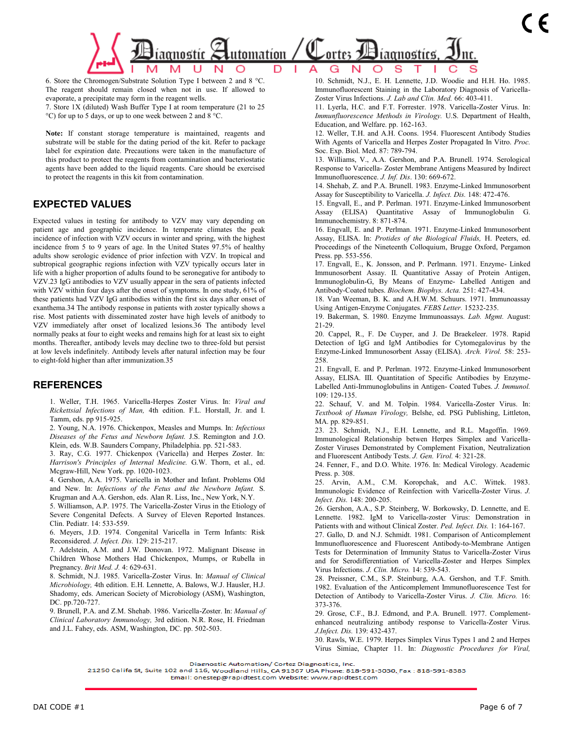

6. Store the Chromogen/Substrate Solution Type I between 2 and 8 °C. The reagent should remain closed when not in use. If allowed to evaporate, a precipitate may form in the reagent wells.

7. Store 1X (diluted) Wash Buffer Type I at room temperature (21 to 25 °C) for up to 5 days, or up to one week between 2 and 8 °C.

**Note:** If constant storage temperature is maintained, reagents and substrate will be stable for the dating period of the kit. Refer to package label for expiration date. Precautions were taken in the manufacture of this product to protect the reagents from contamination and bacteriostatic agents have been added to the liquid reagents. Care should be exercised to protect the reagents in this kit from contamination.

## **EXPECTED VALUES**

Expected values in testing for antibody to VZV may vary depending on patient age and geographic incidence. In temperate climates the peak incidence of infection with VZV occurs in winter and spring, with the highest incidence from 5 to 9 years of age. In the United States 97.5% of healthy adults show serologic evidence of prior infection with VZV. In tropical and subtropical geographic regions infection with VZV typically occurs later in life with a higher proportion of adults found to be seronegative for antibody to VZV.23 IgG antibodies to VZV usually appear in the sera of patients infected with VZV within four days after the onset of symptoms. In one study, 61% of these patients had VZV IgG antibodies within the first six days after onset of exanthema.34 The antibody response in patients with zoster typically shows a rise. Most patients with disseminated zoster have high levels of anitbody to VZV immediately after onset of localized lesions.36 The antibody level normally peaks at four to eight weeks and remains high for at least six to eight months. Thereafter, antibody levels may decline two to three-fold but persist at low levels indefinitely. Antibody levels after natural infection may be four to eight-fold higher than after immunization.35

### **REFERENCES**

1. Weller, T.H. 1965. Varicella-Herpes Zoster Virus. In: *Viral and Rickettsial Infections of Man,* 4th edition. F.L. Horstall, Jr. and I. Tamm, eds. pp 915-925.

2. Young, N.A. 1976. Chickenpox, Measles and Mumps. In: *Infectious Diseases of the Fetus and Newborn Infant.* J.S. Remington and J.O. Klein, eds. W.B. Saunders Company, Philadelphia. pp. 521-583.

3. Ray, C.G. 1977. Chickenpox (Varicella) and Herpes Zoster. In: *Harrison's Principles of Internal Medicine.* G.W. Thorn, et al., ed. Mcgraw-Hill, New York. pp. 1020-1023.

4. Gershon, A.A. 1975. Varicella in Mother and Infant. Problems Old and New. In: *Infections of the Fetus and the Newborn Infant.* S. Krugman and A.A. Gershon, eds. Alan R. Liss, Inc., New York, N.Y.

5. Williamson, A.P. 1975. The Varicella-Zoster Virus in the Etiology of Severe Congenital Defects. A Survey of Eleven Reported Instances. Clin. Pediatr. 14: 533-559.

6. Meyers, J.D. 1974. Congenital Varicella in Term Infants: Risk Reconsidered. *J. Infect. Dis.* 129: 215-217.

7. Adelstein, A.M. and J.W. Donovan. 1972. Malignant Disease in Children Whose Mothers Had Chickenpox, Mumps, or Rubella in Pregnancy. *Brit Med. J.* 4: 629-631.

8. Schmidt, N.J. 1985. Varicella-Zoster Virus. In: *Manual of Clinical Microbiology,* 4th edition. E.H. Lennette, A. Balows, W.J. Hausler, H.J. Shadomy, eds. American Society of Microbiology (ASM), Washington, DC. pp.720-727.

9. Brunell, P.A. and Z.M. Shehab. 1986. Varicella-Zoster. In: *Manual of Clinical Laboratory Immunology,* 3rd edition. N.R. Rose, H. Friedman and J.L. Fahey, eds. ASM, Washington, DC. pp. 502-503.

10. Schmidt, N.J., E. H. Lennette, J.D. Woodie and H.H. Ho. 1985. Immunofluorescent Staining in the Laboratory Diagnosis of Varicella-Zoster Virus Infections. *J. Lab and Clin. Med.* 66: 403-411.

11. Lyerla, H.C. and F.T. Forrester. 1978. Varicella-Zoster Virus. In: *Immunfluorescence Methods in Virology.* U.S. Department of Health, Education, and Welfare. pp. 162-163.

12. Weller, T.H. and A.H. Coons. 1954. Fluorescent Antibody Studies With Agents of Varicella and Herpes Zoster Propagated In Vitro. *Proc.*  Soc. Exp. Biol. Med. 87: 789-794.

13. Williams, V., A.A. Gershon, and P.A. Brunell. 1974. Serological Response to Varicella- Zoster Membrane Antigens Measured by Indirect Immunofluorescence. *J. Inf. Dis*. 130: 669-672.

14. Shehab, Z. and P.A. Brunell. 1983. Enzyme-Linked Immunosorbent Assay for Susceptibility to Varicella. *J. Infect. Dis.* 148: 472-476.

15. Engvall, E., and P. Perlman. 1971. Enzyme-Linked Immunosorbent Assay (ELISA) Quantitative Assay of Immunoglobulin G. Immunochemistry. 8: 871-874.

16. Engvall, E. and P. Perlman. 1971. Enzyme-Linked Immunosorbent Assay, ELISA. In: *Protides of the Biological Fluids,* H. Peeters, ed. Proceedings of the Nineteenth Colloquium, Brugge Oxford, Pergamon Press. pp. 553-556.

17. Engvall, E., K. Jonsson, and P. Perlmann. 1971. Enzyme- Linked Immunosorbent Assay. II. Quantitative Assay of Protein Antigen, Immunoglobulin-G, By Means of Enzyme- Labelled Antigen and Antibody-Coated tubes. *Biochem. Biophys. Acta.* 251: 427-434.

18. Van Weeman, B. K. and A.H.W.M. Schuurs. 1971. Immunoassay Using Antigen-Enzyme Conjugates. *FEBS Letter.* 15232-235.

19. Bakerman, S. 1980. Enzyme Immunoassays. *Lab. Mgmt.* August: 21-29.

20. Cappel, R., F. De Cuyper, and J. De Braekeleer. 1978. Rapid Detection of IgG and IgM Antibodies for Cytomegalovirus by the Enzyme-Linked Immunosorbent Assay (ELISA). *Arch. Virol.* 58: 253- 258.

21. Engvall, E. and P. Perlman. 1972. Enzyme-Linked Immunosorbent Assay, ELISA. III. Quantitation of Specific Antibodies by Enzyme-Labelled Anti-Immunoglobulins in Antigen- Coated Tubes. *J. Immunol.*  109: 129-135.

22. Schauf, V. and M. Tolpin. 1984. Varicella-Zoster Virus. In: *Textbook of Human Virology,* Belshe, ed. PSG Publishing, Littleton, MA. pp. 829-851.

23. 23. Schmidt, N.J., E.H. Lennette, and R.L. Magoffin. 1969. Immunological Relationship betwen Herpes Simplex and Varicella-Zoster Viruses Demonstrated by Complement Fixation, Neutralization and Fluorescent Antibody Tests. *J. Gen. Virol.* 4: 321-28.

24. Fenner, F., and D.O. White. 1976. In: Medical Virology. Academic Press. p. 308.

25. Arvin, A.M., C.M. Koropchak, and A.C. Wittek. 1983. Immunologic Evidence of Reinfection with Varicella-Zoster Virus. *J. Infect. Dis.* 148: 200-205.

26. Gershon, A.A., S.P. Steinberg, W. Borkowsky, D. Lennette, and E. Lennette. 1982. IgM to Varicella-zoster Virus: Demonstration in Patients with and without Clinical Zoster. *Ped. Infect. Dis.* 1: 164-167.

27. Gallo, D. and N.J. Schmidt. 1981. Comparison of Anticomplement Immunofluorescence and Fluorescent Antibody-to-Membrane Antigen Tests for Determination of Immunity Status to Varicella-Zoster Virus and for Serodifferentiation of Varicella-Zoster and Herpes Simplex Virus Infections. *J. Clin. Micro.* 14: 539-543.

28. Preissner, C.M., S.P. Steinburg, A.A. Gershon, and T.F. Smith. 1982. Evaluation of the Anticomplement Immunofluorescence Test for Detection of Antibody to Varicella-Zoster Virus. *J. Clin. Micro.* 16: 373-376.

29. Grose, C.F., B.J. Edmond, and P.A. Brunell. 1977. Complementenhanced neutralizing antibody response to Varicella-Zoster Virus. *J.Infect. Dis.* 139: 432-437.

30. Rawls, W.E. 1979. Herpes Simplex Virus Types 1 and 2 and Herpes Virus Simiae, Chapter 11. In: *Diagnostic Procedures for Viral,* 

Diagnostic Automation/ Cortez Diagnostics, Inc.

21250 Califa St, Suite 102 and 116, Woodland Hills, CA 91367 USA Phone: 818-591-3030, Fax: 818-591-8383

Email: onestep@rapidtest.com Website: www.rapidtest.com